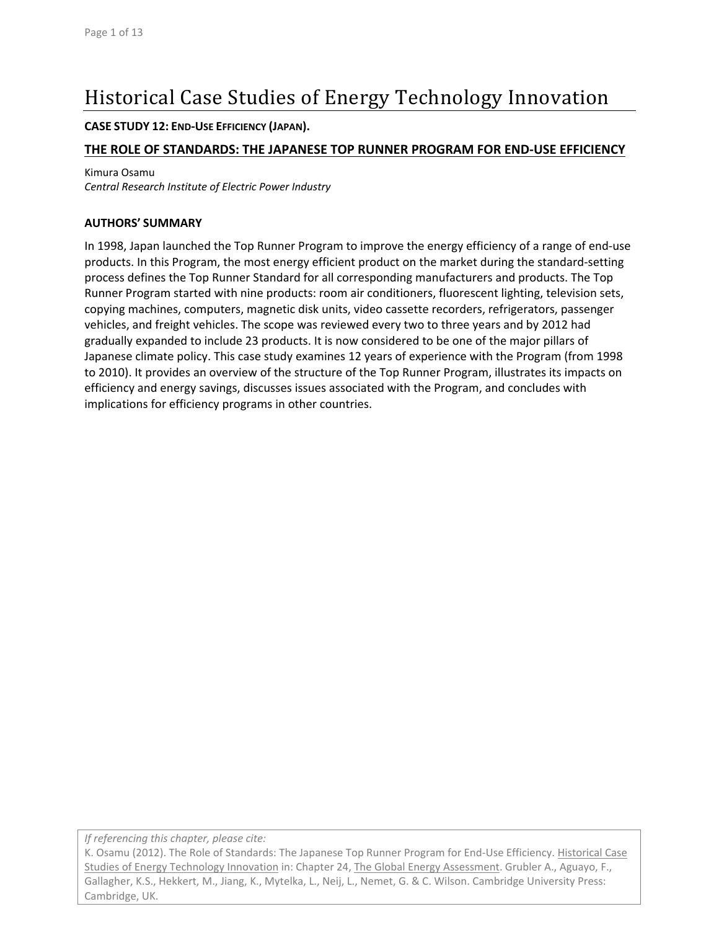# Historical Case Studies of Energy Technology Innovation

#### **CASE STUDY 12: END‐USE EFFICIENCY (JAPAN).**

### **THE ROLE OF STANDARDS: THE JAPANESE TOP RUNNER PROGRAM FOR END‐USE EFFICIENCY**

Kimura Osamu

*Central Research Institute of Electric Power Industry*

#### **AUTHORS' SUMMARY**

In 1998, Japan launched the Top Runner Program to improve the energy efficiency of a range of end‐use products. In this Program, the most energy efficient product on the market during the standard‐setting process defines the Top Runner Standard for all corresponding manufacturers and products. The Top Runner Program started with nine products: room air conditioners, fluorescent lighting, television sets, copying machines, computers, magnetic disk units, video cassette recorders, refrigerators, passenger vehicles, and freight vehicles. The scope was reviewed every two to three years and by 2012 had gradually expanded to include 23 products. It is now considered to be one of the major pillars of Japanese climate policy. This case study examines 12 years of experience with the Program (from 1998 to 2010). It provides an overview of the structure of the Top Runner Program, illustrates its impacts on efficiency and energy savings, discusses issues associated with the Program, and concludes with implications for efficiency programs in other countries.

*If referencing this chapter, please cite:*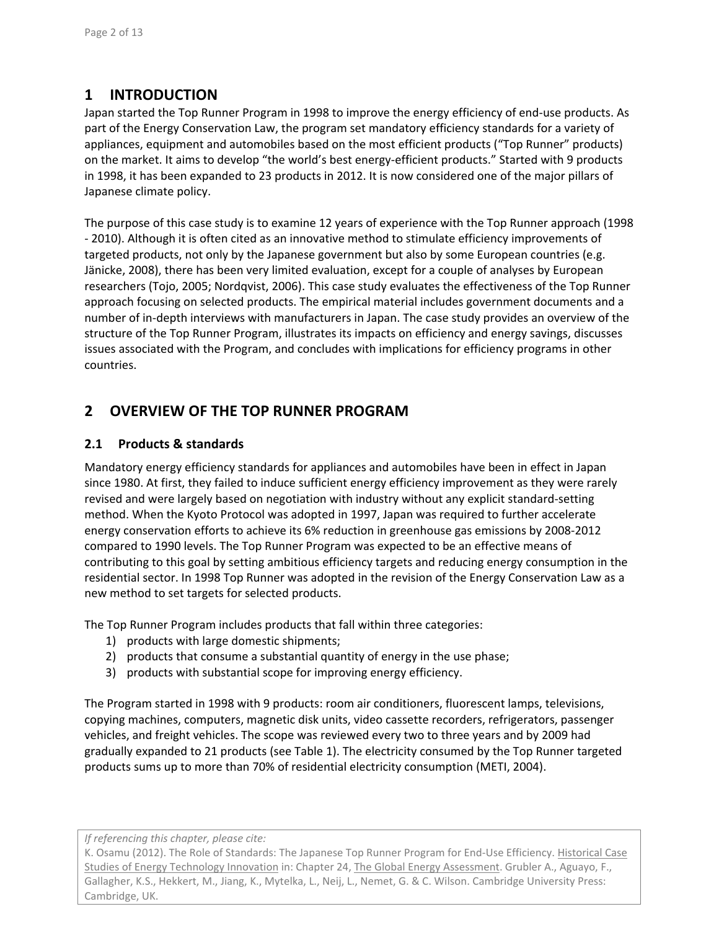# **1 INTRODUCTION**

Japan started the Top Runner Program in 1998 to improve the energy efficiency of end‐use products. As part of the Energy Conservation Law, the program set mandatory efficiency standards for a variety of appliances, equipment and automobiles based on the most efficient products ("Top Runner" products) on the market. It aims to develop "the world's best energy-efficient products." Started with 9 products in 1998, it has been expanded to 23 products in 2012. It is now considered one of the major pillars of Japanese climate policy.

The purpose of this case study is to examine 12 years of experience with the Top Runner approach (1998 ‐ 2010). Although it is often cited as an innovative method to stimulate efficiency improvements of targeted products, not only by the Japanese government but also by some European countries (e.g. Jänicke, 2008), there has been very limited evaluation, except for a couple of analyses by European researchers (Tojo, 2005; Nordqvist, 2006). This case study evaluates the effectiveness of the Top Runner approach focusing on selected products. The empirical material includes government documents and a number of in‐depth interviews with manufacturers in Japan. The case study provides an overview of the structure of the Top Runner Program, illustrates its impacts on efficiency and energy savings, discusses issues associated with the Program, and concludes with implications for efficiency programs in other countries.

# **2 OVERVIEW OF THE TOP RUNNER PROGRAM**

### **2.1 Products & standards**

Mandatory energy efficiency standards for appliances and automobiles have been in effect in Japan since 1980. At first, they failed to induce sufficient energy efficiency improvement as they were rarely revised and were largely based on negotiation with industry without any explicit standard‐setting method. When the Kyoto Protocol was adopted in 1997, Japan was required to further accelerate energy conservation efforts to achieve its 6% reduction in greenhouse gas emissions by 2008‐2012 compared to 1990 levels. The Top Runner Program was expected to be an effective means of contributing to this goal by setting ambitious efficiency targets and reducing energy consumption in the residential sector. In 1998 Top Runner was adopted in the revision of the Energy Conservation Law as a new method to set targets for selected products.

The Top Runner Program includes products that fall within three categories:

- 1) products with large domestic shipments;
- 2) products that consume a substantial quantity of energy in the use phase;
- 3) products with substantial scope for improving energy efficiency.

The Program started in 1998 with 9 products: room air conditioners, fluorescent lamps, televisions, copying machines, computers, magnetic disk units, video cassette recorders, refrigerators, passenger vehicles, and freight vehicles. The scope was reviewed every two to three years and by 2009 had gradually expanded to 21 products (see Table 1). The electricity consumed by the Top Runner targeted products sums up to more than 70% of residential electricity consumption (METI, 2004).

*If referencing this chapter, please cite:*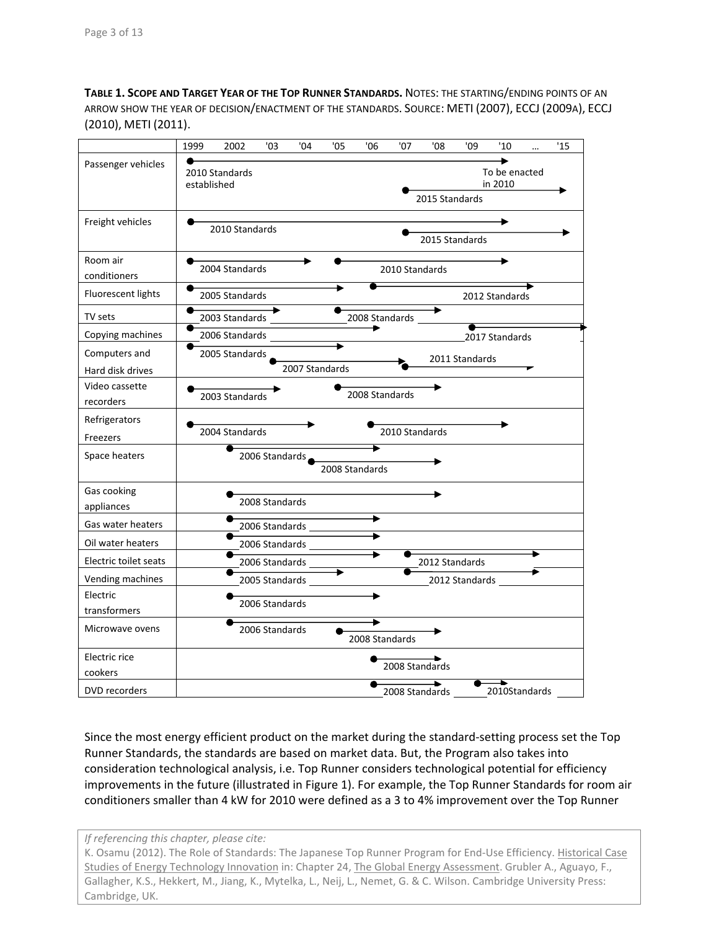**TABLE 1. SCOPE AND TARGET YEAR OF THE TOP RUNNER STANDARDS.** NOTES: THE STARTING/ENDING POINTS OF AN ARROW SHOW THE YEAR OF DECISION/ENACTMENT OF THE STANDARDS. SOURCE: METI (2007), ECCJ (2009A), ECCJ (2010), METI (2011).

|                                   | 1999                                                                           | 2002           | '03            | '04 | '05                      | '06               | '07            | '08            | '09 | '10                      |  | '15 |
|-----------------------------------|--------------------------------------------------------------------------------|----------------|----------------|-----|--------------------------|-------------------|----------------|----------------|-----|--------------------------|--|-----|
| Passenger vehicles                | established                                                                    | 2010 Standards |                |     |                          |                   |                | 2015 Standards |     | To be enacted<br>in 2010 |  |     |
| Freight vehicles                  |                                                                                | 2010 Standards |                |     |                          |                   |                | 2015 Standards |     |                          |  |     |
| Room air<br>conditioners          | 2004 Standards<br>2010 Standards                                               |                |                |     |                          |                   |                |                |     |                          |  |     |
| Fluorescent lights                |                                                                                | 2005 Standards |                |     |                          |                   |                |                |     | 2012 Standards           |  |     |
| TV sets                           |                                                                                | 2003 Standards |                |     |                          | 2008 Standards __ |                |                |     |                          |  |     |
| Copying machines                  |                                                                                | 2006 Standards |                |     | $\overline{\phantom{a}}$ | $\rightarrow$     |                |                |     | 2017 Standards           |  |     |
| Computers and<br>Hard disk drives | 2005 Standards<br>2011 Standards<br>2007 Standards                             |                |                |     |                          |                   |                |                |     |                          |  |     |
| Video cassette<br>recorders       | 2008 Standards<br>2003 Standards                                               |                |                |     |                          |                   |                |                |     |                          |  |     |
| Refrigerators<br>Freezers         |                                                                                | 2004 Standards |                |     |                          |                   | 2010 Standards |                |     |                          |  |     |
| Space heaters                     | 2006 Standards<br>2008 Standards                                               |                |                |     |                          |                   |                |                |     |                          |  |     |
| Gas cooking<br>appliances         |                                                                                |                | 2008 Standards |     |                          |                   |                |                |     |                          |  |     |
| Gas water heaters                 |                                                                                |                |                |     |                          |                   |                |                |     |                          |  |     |
| Oil water heaters                 |                                                                                |                |                |     |                          |                   |                |                |     |                          |  |     |
| Electric toilet seats             | 2006 Standards<br>2006 Standards<br>2012 Standards<br>$\overline{\phantom{0}}$ |                |                |     |                          |                   |                |                |     |                          |  |     |
| Vending machines                  | 2005 Standards<br>2012 Standards                                               |                |                |     |                          |                   |                |                |     |                          |  |     |
| Electric<br>transformers          |                                                                                |                | 2006 Standards |     |                          |                   |                |                |     |                          |  |     |
| Microwave ovens                   |                                                                                |                | 2006 Standards |     |                          | 2008 Standards    |                |                |     |                          |  |     |
| Electric rice<br>cookers          |                                                                                | 2008 Standards |                |     |                          |                   |                |                |     |                          |  |     |
| DVD recorders                     |                                                                                |                |                |     |                          |                   | 2008 Standards |                |     | ►<br>2010Standards       |  |     |

Since the most energy efficient product on the market during the standard‐setting process set the Top Runner Standards, the standards are based on market data. But, the Program also takes into consideration technological analysis, i.e. Top Runner considers technological potential for efficiency improvements in the future (illustrated in Figure 1). For example, the Top Runner Standards for room air conditioners smaller than 4 kW for 2010 were defined as a 3 to 4% improvement over the Top Runner

*If referencing this chapter, please cite:*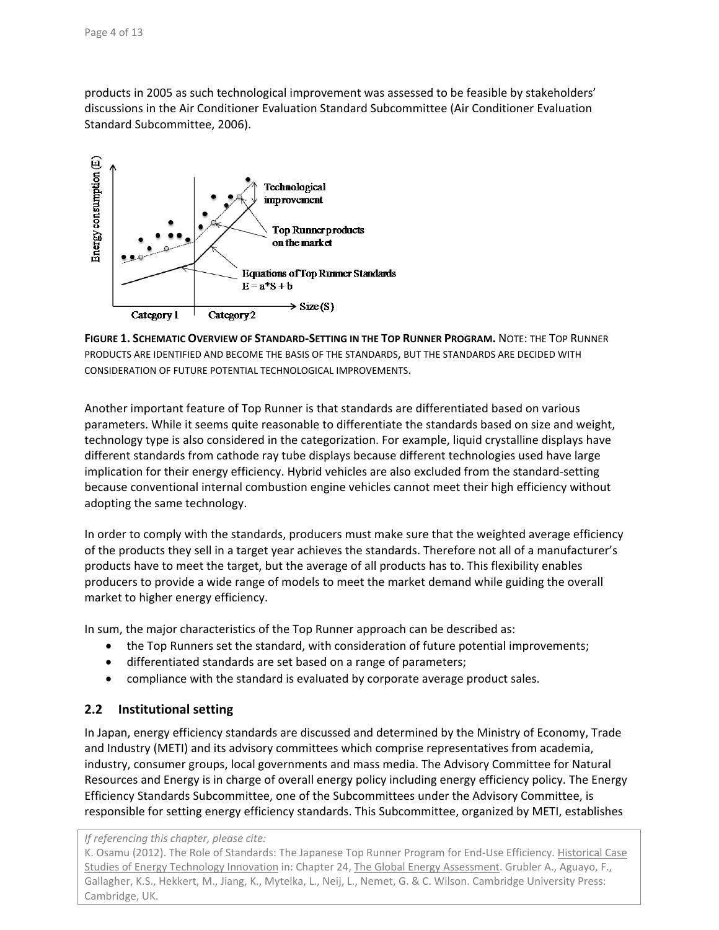products in 2005 as such technological improvement was assessed to be feasible by stakeholders' discussions in the Air Conditioner Evaluation Standard Subcommittee (Air Conditioner Evaluation Standard Subcommittee, 2006).





Another important feature of Top Runner is that standards are differentiated based on various parameters. While it seems quite reasonable to differentiate the standards based on size and weight, technology type is also considered in the categorization. For example, liquid crystalline displays have different standards from cathode ray tube displays because different technologies used have large implication for their energy efficiency. Hybrid vehicles are also excluded from the standard-setting because conventional internal combustion engine vehicles cannot meet their high efficiency without adopting the same technology.

In order to comply with the standards, producers must make sure that the weighted average efficiency of the products they sell in a target year achieves the standards. Therefore not all of a manufacturer's products have to meet the target, but the average of all products has to. This flexibility enables producers to provide a wide range of models to meet the market demand while guiding the overall market to higher energy efficiency.

In sum, the major characteristics of the Top Runner approach can be described as:

- the Top Runners set the standard, with consideration of future potential improvements;
- differentiated standards are set based on a range of parameters;
- compliance with the standard is evaluated by corporate average product sales.

#### **2.2 Institutional setting**

In Japan, energy efficiency standards are discussed and determined by the Ministry of Economy, Trade and Industry (METI) and its advisory committees which comprise representatives from academia, industry, consumer groups, local governments and mass media. The Advisory Committee for Natural Resources and Energy is in charge of overall energy policy including energy efficiency policy. The Energy Efficiency Standards Subcommittee, one of the Subcommittees under the Advisory Committee, is responsible for setting energy efficiency standards. This Subcommittee, organized by METI, establishes

*If referencing this chapter, please cite:*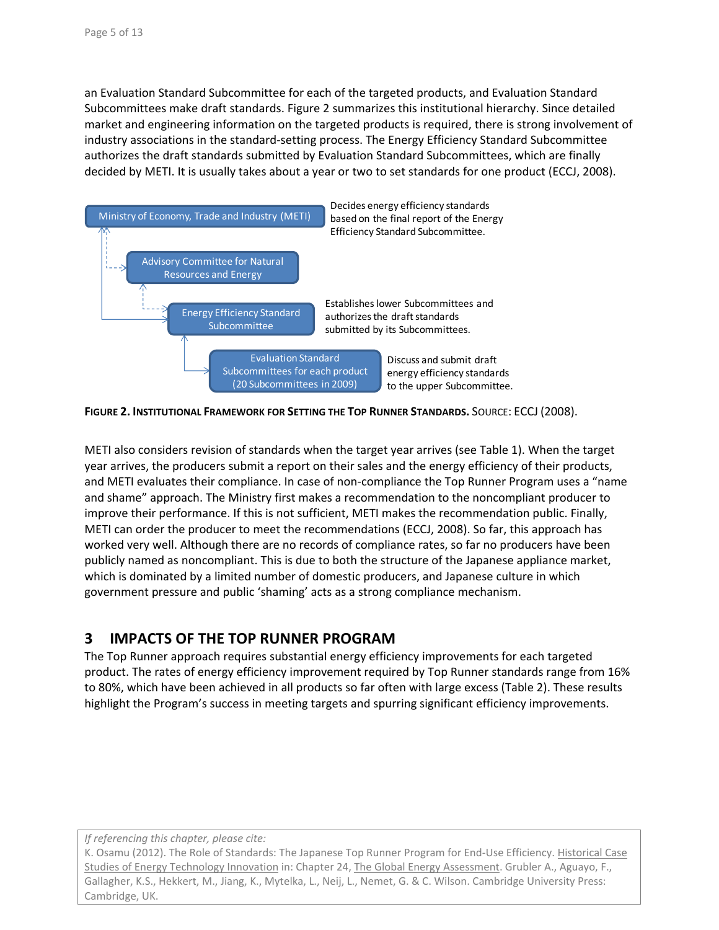an Evaluation Standard Subcommittee for each of the targeted products, and Evaluation Standard Subcommittees make draft standards. Figure 2 summarizes this institutional hierarchy. Since detailed market and engineering information on the targeted products is required, there is strong involvement of industry associations in the standard‐setting process. The Energy Efficiency Standard Subcommittee authorizes the draft standards submitted by Evaluation Standard Subcommittees, which are finally decided by METI. It is usually takes about a year or two to set standards for one product (ECCJ, 2008).



**FIGURE 2. INSTITUTIONAL FRAMEWORK FOR SETTING THE TOP RUNNER STANDARDS.** SOURCE: ECCJ (2008).

METI also considers revision of standards when the target year arrives (see Table 1). When the target year arrives, the producers submit a report on their sales and the energy efficiency of their products, and METI evaluates their compliance. In case of non‐compliance the Top Runner Program uses a "name and shame" approach. The Ministry first makes a recommendation to the noncompliant producer to improve their performance. If this is not sufficient, METI makes the recommendation public. Finally, METI can order the producer to meet the recommendations (ECCJ, 2008). So far, this approach has worked very well. Although there are no records of compliance rates, so far no producers have been publicly named as noncompliant. This is due to both the structure of the Japanese appliance market, which is dominated by a limited number of domestic producers, and Japanese culture in which government pressure and public 'shaming' acts as a strong compliance mechanism.

# **3 IMPACTS OF THE TOP RUNNER PROGRAM**

The Top Runner approach requires substantial energy efficiency improvements for each targeted product. The rates of energy efficiency improvement required by Top Runner standards range from 16% to 80%, which have been achieved in all products so far often with large excess (Table 2). These results highlight the Program's success in meeting targets and spurring significant efficiency improvements.

*If referencing this chapter, please cite:*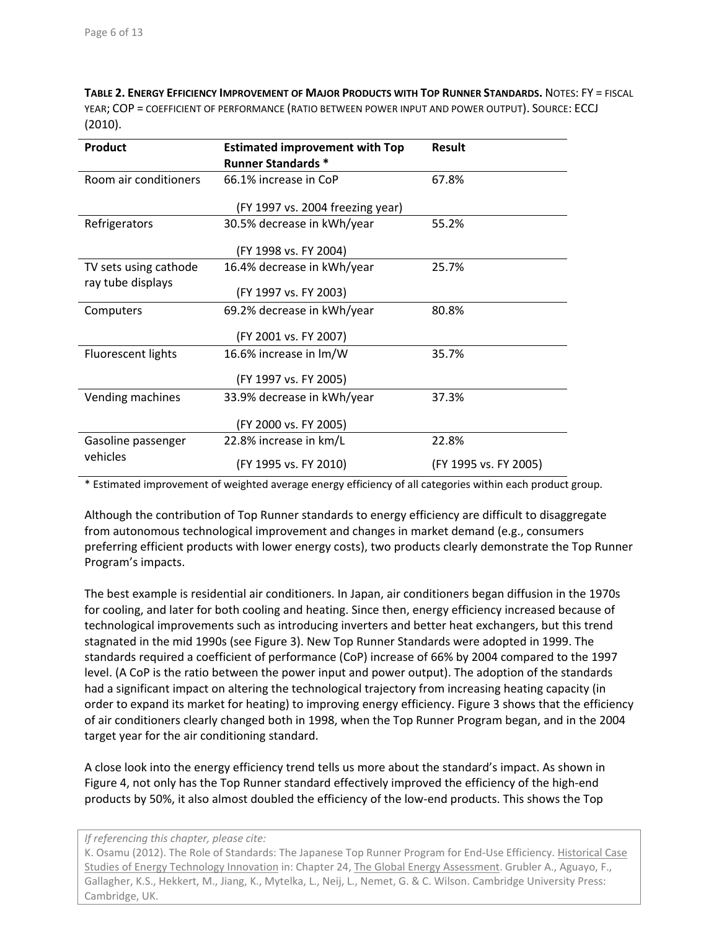**TABLE 2. ENERGY EFFICIENCY IMPROVEMENT OF MAJOR PRODUCTS WITH TOP RUNNER STANDARDS.** NOTES: FY = FISCAL YEAR; COP = COEFFICIENT OF PERFORMANCE (RATIO BETWEEN POWER INPUT AND POWER OUTPUT). SOURCE: ECCJ (2010).

| <b>Product</b>        | <b>Estimated improvement with Top</b><br><b>Runner Standards *</b> | Result                |  |  |  |
|-----------------------|--------------------------------------------------------------------|-----------------------|--|--|--|
| Room air conditioners | 66.1% increase in CoP                                              | 67.8%                 |  |  |  |
|                       | (FY 1997 vs. 2004 freezing year)                                   |                       |  |  |  |
| Refrigerators         | 30.5% decrease in kWh/year                                         | 55.2%                 |  |  |  |
|                       | (FY 1998 vs. FY 2004)                                              |                       |  |  |  |
| TV sets using cathode | 16.4% decrease in kWh/year                                         | 25.7%                 |  |  |  |
| ray tube displays     | (FY 1997 vs. FY 2003)                                              |                       |  |  |  |
| Computers             | 69.2% decrease in kWh/year                                         | 80.8%                 |  |  |  |
|                       | (FY 2001 vs. FY 2007)                                              |                       |  |  |  |
| Fluorescent lights    | 16.6% increase in lm/W                                             | 35.7%                 |  |  |  |
|                       | (FY 1997 vs. FY 2005)                                              |                       |  |  |  |
| Vending machines      | 33.9% decrease in kWh/year                                         | 37.3%                 |  |  |  |
|                       | (FY 2000 vs. FY 2005)                                              |                       |  |  |  |
| Gasoline passenger    | 22.8% increase in km/L                                             | 22.8%                 |  |  |  |
| vehicles              | (FY 1995 vs. FY 2010)                                              | (FY 1995 vs. FY 2005) |  |  |  |

\* Estimated improvement of weighted average energy efficiency of all categories within each product group.

Although the contribution of Top Runner standards to energy efficiency are difficult to disaggregate from autonomous technological improvement and changes in market demand (e.g., consumers preferring efficient products with lower energy costs), two products clearly demonstrate the Top Runner Program's impacts.

The best example is residential air conditioners. In Japan, air conditioners began diffusion in the 1970s for cooling, and later for both cooling and heating. Since then, energy efficiency increased because of technological improvements such as introducing inverters and better heat exchangers, but this trend stagnated in the mid 1990s (see Figure 3). New Top Runner Standards were adopted in 1999. The standards required a coefficient of performance (CoP) increase of 66% by 2004 compared to the 1997 level. (A CoP is the ratio between the power input and power output). The adoption of the standards had a significant impact on altering the technological trajectory from increasing heating capacity (in order to expand its market for heating) to improving energy efficiency. Figure 3 shows that the efficiency of air conditioners clearly changed both in 1998, when the Top Runner Program began, and in the 2004 target year for the air conditioning standard.

A close look into the energy efficiency trend tells us more about the standard's impact. As shown in Figure 4, not only has the Top Runner standard effectively improved the efficiency of the high‐end products by 50%, it also almost doubled the efficiency of the low‐end products. This shows the Top

*If referencing this chapter, please cite:*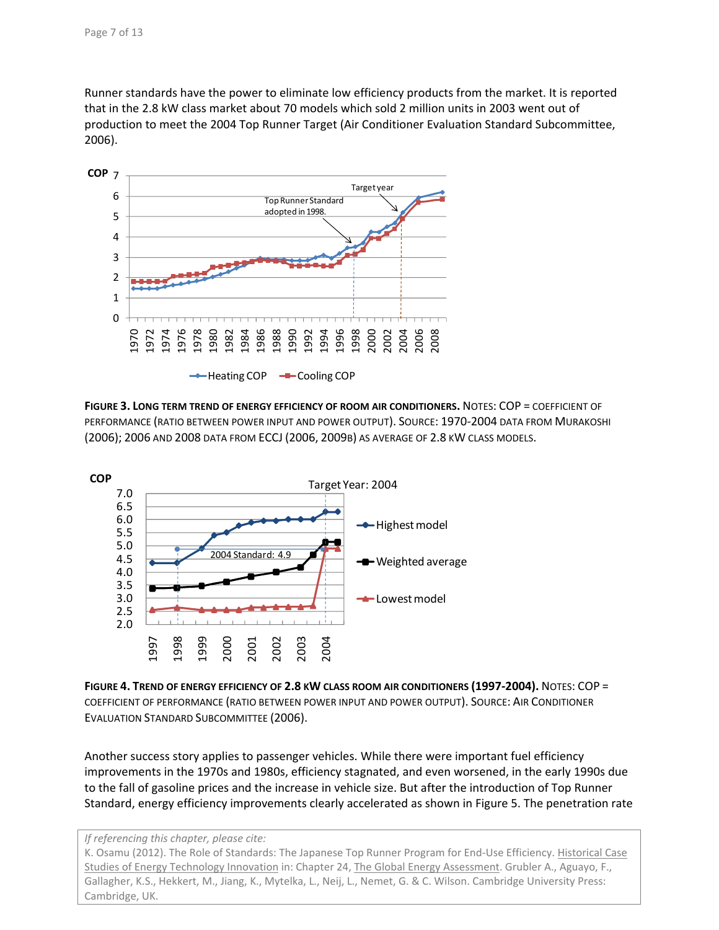Runner standards have the power to eliminate low efficiency products from the market. It is reported that in the 2.8 kW class market about 70 models which sold 2 million units in 2003 went out of production to meet the 2004 Top Runner Target (Air Conditioner Evaluation Standard Subcommittee, 2006).



**FIGURE 3. LONG TERM TREND OF ENERGY EFFICIENCY OF ROOM AIR CONDITIONERS.** NOTES: COP = COEFFICIENT OF PERFORMANCE (RATIO BETWEEN POWER INPUT AND POWER OUTPUT). SOURCE: 1970‐2004 DATA FROM MURAKOSHI (2006); 2006 AND 2008 DATA FROM ECCJ (2006, 2009B) AS AVERAGE OF 2.8 KW CLASS MODELS.



**FIGURE 4. TREND OF ENERGY EFFICIENCY OF 2.8 KW CLASS ROOM AIR CONDITIONERS (1997‐2004).** NOTES: COP = COEFFICIENT OF PERFORMANCE (RATIO BETWEEN POWER INPUT AND POWER OUTPUT). SOURCE: AIR CONDITIONER EVALUATION STANDARD SUBCOMMITTEE (2006).

Another success story applies to passenger vehicles. While there were important fuel efficiency improvements in the 1970s and 1980s, efficiency stagnated, and even worsened, in the early 1990s due to the fall of gasoline prices and the increase in vehicle size. But after the introduction of Top Runner Standard, energy efficiency improvements clearly accelerated as shown in Figure 5. The penetration rate

*If referencing this chapter, please cite:*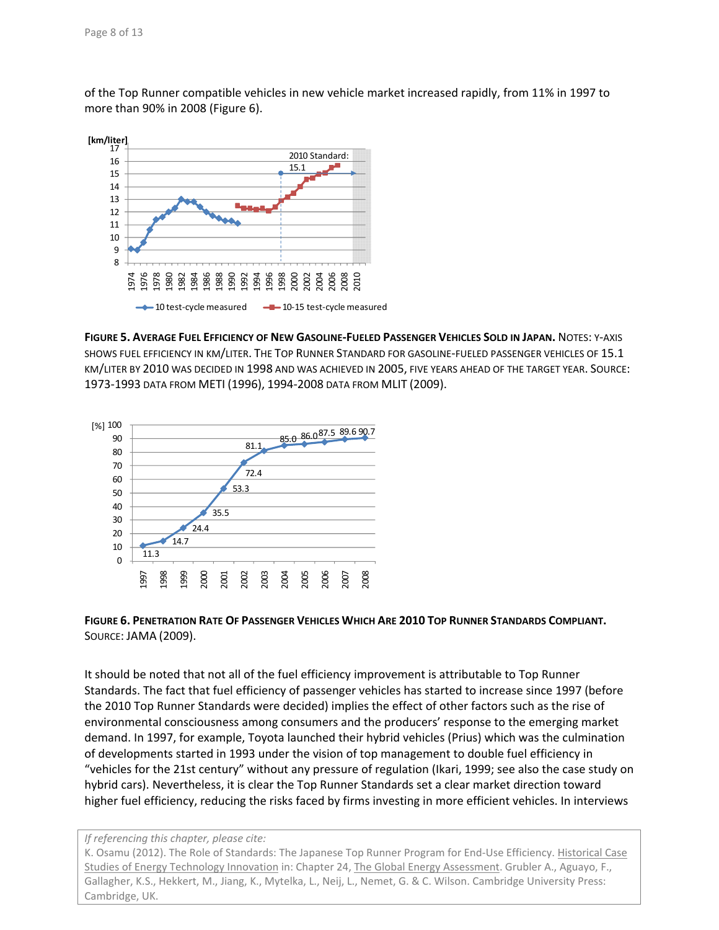of the Top Runner compatible vehicles in new vehicle market increased rapidly, from 11% in 1997 to more than 90% in 2008 (Figure 6).



**FIGURE 5. AVERAGE FUEL EFFICIENCY OF NEW GASOLINE‐FUELED PASSENGER VEHICLES SOLD IN JAPAN.** NOTES: Y‐AXIS SHOWS FUEL EFFICIENCY IN KM/LITER. THE TOP RUNNER STANDARD FOR GASOLINE‐FUELED PASSENGER VEHICLES OF 15.1 KM/LITER BY 2010 WAS DECIDED IN 1998 AND WAS ACHIEVED IN 2005, FIVE YEARS AHEAD OF THE TARGET YEAR. SOURCE: 1973‐1993 DATA FROM METI (1996), 1994‐2008 DATA FROM MLIT (2009).



#### **FIGURE 6. PENETRATION RATE OF PASSENGER VEHICLES WHICH ARE 2010 TOP RUNNER STANDARDS COMPLIANT.** SOURCE: JAMA (2009).

It should be noted that not all of the fuel efficiency improvement is attributable to Top Runner Standards. The fact that fuel efficiency of passenger vehicles has started to increase since 1997 (before the 2010 Top Runner Standards were decided) implies the effect of other factors such as the rise of environmental consciousness among consumers and the producers' response to the emerging market demand. In 1997, for example, Toyota launched their hybrid vehicles (Prius) which was the culmination of developments started in 1993 under the vision of top management to double fuel efficiency in "vehicles for the 21st century" without any pressure of regulation (Ikari, 1999; see also the case study on hybrid cars). Nevertheless, it is clear the Top Runner Standards set a clear market direction toward higher fuel efficiency, reducing the risks faced by firms investing in more efficient vehicles. In interviews

#### *If referencing this chapter, please cite:*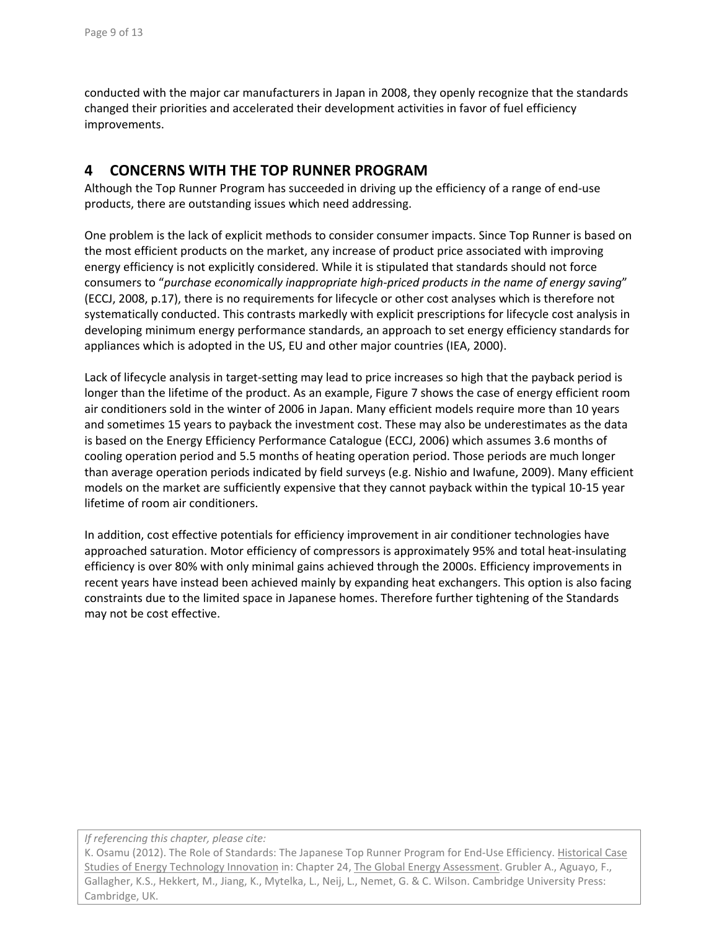conducted with the major car manufacturers in Japan in 2008, they openly recognize that the standards changed their priorities and accelerated their development activities in favor of fuel efficiency improvements.

### **4 CONCERNS WITH THE TOP RUNNER PROGRAM**

Although the Top Runner Program has succeeded in driving up the efficiency of a range of end‐use products, there are outstanding issues which need addressing.

One problem is the lack of explicit methods to consider consumer impacts. Since Top Runner is based on the most efficient products on the market, any increase of product price associated with improving energy efficiency is not explicitly considered. While it is stipulated that standards should not force consumers to "*purchase economically inappropriate high‐priced products in the name of energy saving*" (ECCJ, 2008, p.17), there is no requirements for lifecycle or other cost analyses which is therefore not systematically conducted. This contrasts markedly with explicit prescriptions for lifecycle cost analysis in developing minimum energy performance standards, an approach to set energy efficiency standards for appliances which is adopted in the US, EU and other major countries (IEA, 2000).

Lack of lifecycle analysis in target-setting may lead to price increases so high that the payback period is longer than the lifetime of the product. As an example, Figure 7 shows the case of energy efficient room air conditioners sold in the winter of 2006 in Japan. Many efficient models require more than 10 years and sometimes 15 years to payback the investment cost. These may also be underestimates as the data is based on the Energy Efficiency Performance Catalogue (ECCJ, 2006) which assumes 3.6 months of cooling operation period and 5.5 months of heating operation period. Those periods are much longer than average operation periods indicated by field surveys (e.g. Nishio and Iwafune, 2009). Many efficient models on the market are sufficiently expensive that they cannot payback within the typical 10‐15 year lifetime of room air conditioners.

In addition, cost effective potentials for efficiency improvement in air conditioner technologies have approached saturation. Motor efficiency of compressors is approximately 95% and total heat‐insulating efficiency is over 80% with only minimal gains achieved through the 2000s. Efficiency improvements in recent years have instead been achieved mainly by expanding heat exchangers. This option is also facing constraints due to the limited space in Japanese homes. Therefore further tightening of the Standards may not be cost effective.

*If referencing this chapter, please cite:*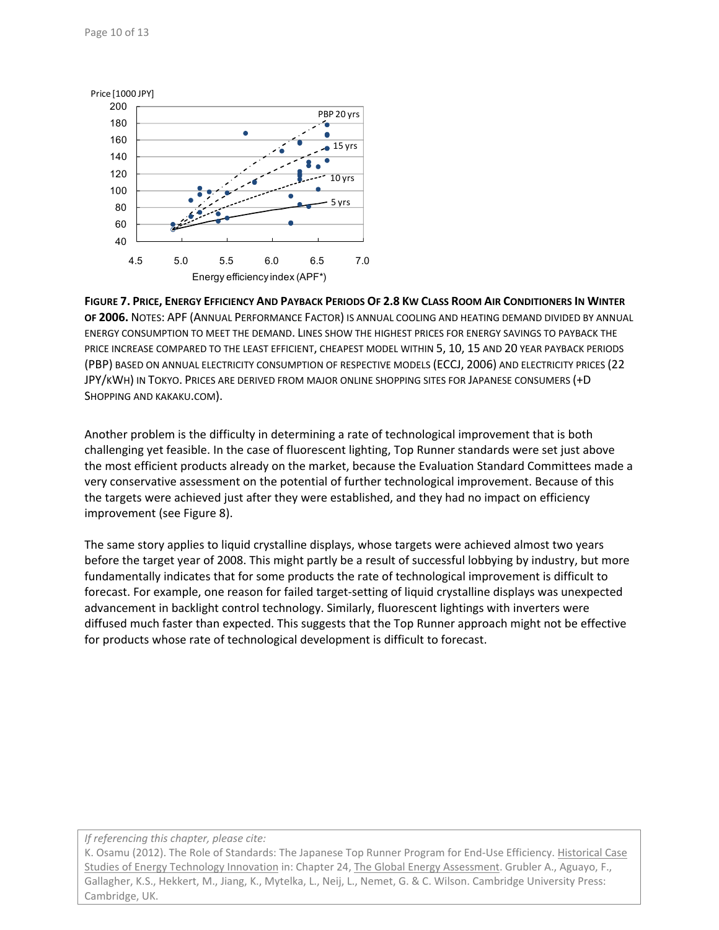

**FIGURE 7. PRICE, ENERGY EFFICIENCY AND PAYBACK PERIODS OF 2.8 KW CLASS ROOM AIR CONDITIONERS IN WINTER OF 2006.** NOTES: APF (ANNUAL PERFORMANCE FACTOR) IS ANNUAL COOLING AND HEATING DEMAND DIVIDED BY ANNUAL ENERGY CONSUMPTION TO MEET THE DEMAND. LINES SHOW THE HIGHEST PRICES FOR ENERGY SAVINGS TO PAYBACK THE PRICE INCREASE COMPARED TO THE LEAST EFFICIENT, CHEAPEST MODEL WITHIN 5, 10, 15 AND 20 YEAR PAYBACK PERIODS (PBP) BASED ON ANNUAL ELECTRICITY CONSUMPTION OF RESPECTIVE MODELS (ECCJ, 2006) AND ELECTRICITY PRICES (22 JPY/KWH) IN TOKYO. PRICES ARE DERIVED FROM MAJOR ONLINE SHOPPING SITES FOR JAPANESE CONSUMERS (+D SHOPPING AND KAKAKU.COM).

Another problem is the difficulty in determining a rate of technological improvement that is both challenging yet feasible. In the case of fluorescent lighting, Top Runner standards were set just above the most efficient products already on the market, because the Evaluation Standard Committees made a very conservative assessment on the potential of further technological improvement. Because of this the targets were achieved just after they were established, and they had no impact on efficiency improvement (see Figure 8).

The same story applies to liquid crystalline displays, whose targets were achieved almost two years before the target year of 2008. This might partly be a result of successful lobbying by industry, but more fundamentally indicates that for some products the rate of technological improvement is difficult to forecast. For example, one reason for failed target‐setting of liquid crystalline displays was unexpected advancement in backlight control technology. Similarly, fluorescent lightings with inverters were diffused much faster than expected. This suggests that the Top Runner approach might not be effective for products whose rate of technological development is difficult to forecast.

*If referencing this chapter, please cite:*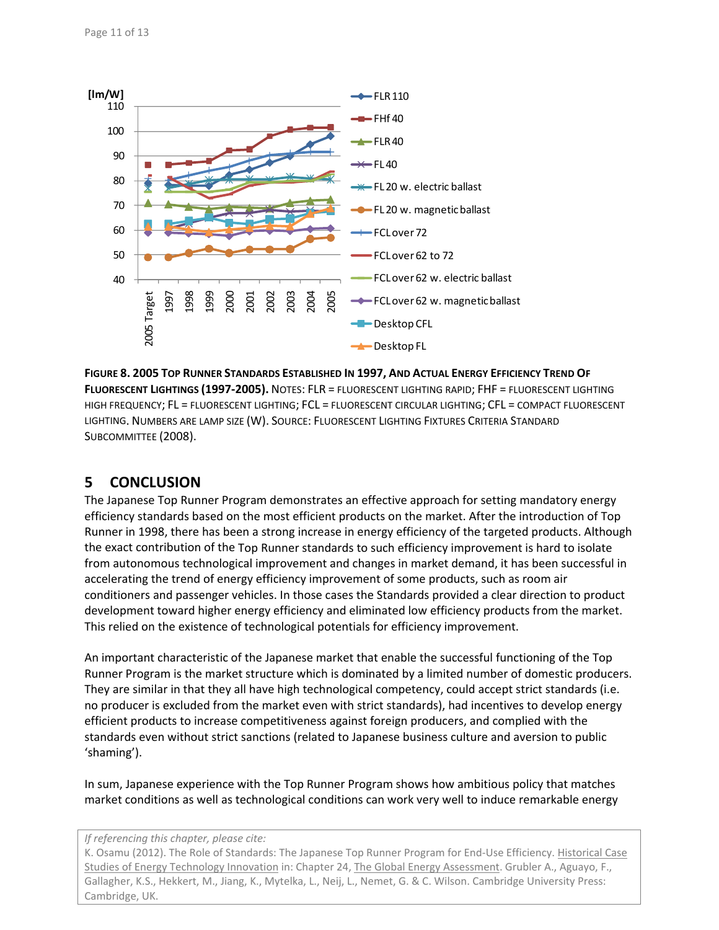

**FIGURE 8. 2005 TOP RUNNER STANDARDS ESTABLISHED IN 1997, AND ACTUAL ENERGY EFFICIENCY TREND OF FLUORESCENT LIGHTINGS (1997‐2005).** NOTES: FLR = FLUORESCENT LIGHTING RAPID; FHF = FLUORESCENT LIGHTING HIGH FREQUENCY; FL = FLUORESCENT LIGHTING; FCL = FLUORESCENT CIRCULAR LIGHTING; CFL = COMPACT FLUORESCENT LIGHTING. NUMBERS ARE LAMP SIZE (W). SOURCE: FLUORESCENT LIGHTING FIXTURES CRITERIA STANDARD SUBCOMMITTEE (2008).

# **5 CONCLUSION**

The Japanese Top Runner Program demonstrates an effective approach for setting mandatory energy efficiency standards based on the most efficient products on the market. After the introduction of Top Runner in 1998, there has been a strong increase in energy efficiency of the targeted products. Although the exact contribution of the Top Runner standards to such efficiency improvement is hard to isolate from autonomous technological improvement and changes in market demand, it has been successful in accelerating the trend of energy efficiency improvement of some products, such as room air conditioners and passenger vehicles. In those cases the Standards provided a clear direction to product development toward higher energy efficiency and eliminated low efficiency products from the market. This relied on the existence of technological potentials for efficiency improvement.

An important characteristic of the Japanese market that enable the successful functioning of the Top Runner Program is the market structure which is dominated by a limited number of domestic producers. They are similar in that they all have high technological competency, could accept strict standards (i.e. no producer is excluded from the market even with strict standards), had incentives to develop energy efficient products to increase competitiveness against foreign producers, and complied with the standards even without strict sanctions (related to Japanese business culture and aversion to public 'shaming').

In sum, Japanese experience with the Top Runner Program shows how ambitious policy that matches market conditions as well as technological conditions can work very well to induce remarkable energy

#### *If referencing this chapter, please cite:*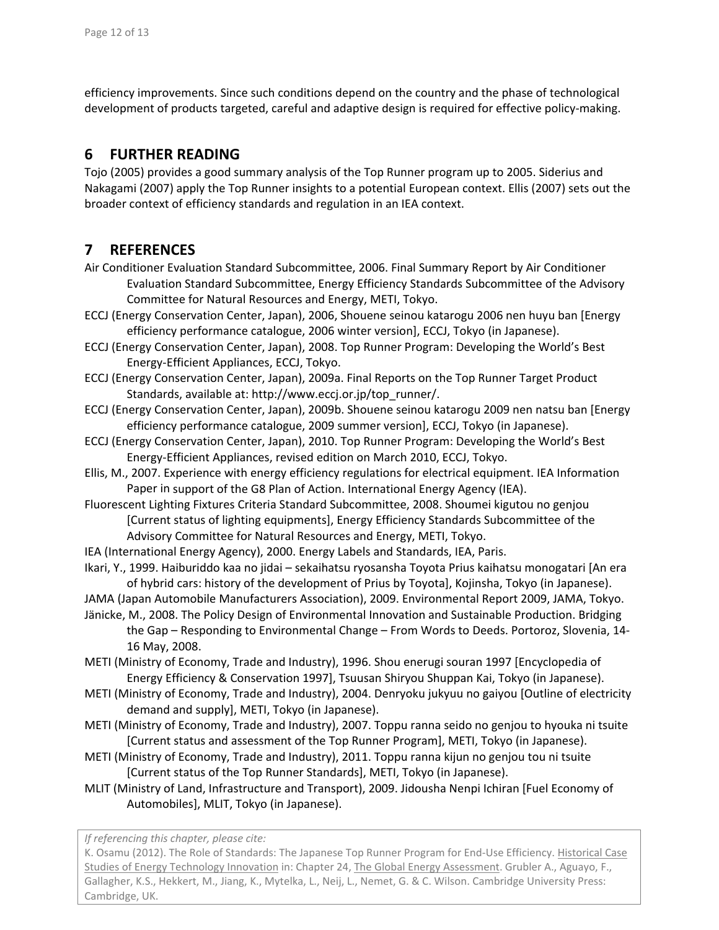efficiency improvements. Since such conditions depend on the country and the phase of technological development of products targeted, careful and adaptive design is required for effective policy‐making.

### **6 FURTHER READING**

Tojo (2005) provides a good summary analysis of the Top Runner program up to 2005. Siderius and Nakagami (2007) apply the Top Runner insights to a potential European context. Ellis (2007) sets out the broader context of efficiency standards and regulation in an IEA context.

### **7 REFERENCES**

- Air Conditioner Evaluation Standard Subcommittee, 2006. Final Summary Report by Air Conditioner Evaluation Standard Subcommittee, Energy Efficiency Standards Subcommittee of the Advisory Committee for Natural Resources and Energy, METI, Tokyo.
- ECCJ (Energy Conservation Center, Japan), 2006, Shouene seinou katarogu 2006 nen huyu ban [Energy efficiency performance catalogue, 2006 winter version], ECCJ, Tokyo (in Japanese).
- ECCJ (Energy Conservation Center, Japan), 2008. Top Runner Program: Developing the World's Best Energy‐Efficient Appliances, ECCJ, Tokyo.
- ECCJ (Energy Conservation Center, Japan), 2009a. Final Reports on the Top Runner Target Product Standards, available at: http://www.eccj.or.jp/top\_runner/.
- ECCJ (Energy Conservation Center, Japan), 2009b. Shouene seinou katarogu 2009 nen natsu ban [Energy efficiency performance catalogue, 2009 summer version], ECCJ, Tokyo (in Japanese).
- ECCJ (Energy Conservation Center, Japan), 2010. Top Runner Program: Developing the World's Best Energy‐Efficient Appliances, revised edition on March 2010, ECCJ, Tokyo.
- Ellis, M., 2007. Experience with energy efficiency regulations for electrical equipment. IEA Information Paper in support of the G8 Plan of Action. International Energy Agency (IEA).
- Fluorescent Lighting Fixtures Criteria Standard Subcommittee, 2008. Shoumei kigutou no genjou [Current status of lighting equipments], Energy Efficiency Standards Subcommittee of the Advisory Committee for Natural Resources and Energy, METI, Tokyo.
- IEA (International Energy Agency), 2000. Energy Labels and Standards, IEA, Paris.
- Ikari, Y., 1999. Haiburiddo kaa no jidai sekaihatsu ryosansha Toyota Prius kaihatsu monogatari [An era of hybrid cars: history of the development of Prius by Toyota], Kojinsha, Tokyo (in Japanese).
- JAMA (Japan Automobile Manufacturers Association), 2009. Environmental Report 2009, JAMA, Tokyo.
- Jänicke, M., 2008. The Policy Design of Environmental Innovation and Sustainable Production. Bridging the Gap – Responding to Environmental Change – From Words to Deeds. Portoroz, Slovenia, 14‐ 16 May, 2008.
- METI (Ministry of Economy, Trade and Industry), 1996. Shou enerugi souran 1997 [Encyclopedia of Energy Efficiency & Conservation 1997], Tsuusan Shiryou Shuppan Kai, Tokyo (in Japanese).
- METI (Ministry of Economy, Trade and Industry), 2004. Denryoku jukyuu no gaiyou [Outline of electricity demand and supply], METI, Tokyo (in Japanese).
- METI (Ministry of Economy, Trade and Industry), 2007. Toppu ranna seido no genjou to hyouka ni tsuite [Current status and assessment of the Top Runner Program], METI, Tokyo (in Japanese).
- METI (Ministry of Economy, Trade and Industry), 2011. Toppu ranna kijun no genjou tou ni tsuite [Current status of the Top Runner Standards], METI, Tokyo (in Japanese).
- MLIT (Ministry of Land, Infrastructure and Transport), 2009. Jidousha Nenpi Ichiran [Fuel Economy of Automobiles], MLIT, Tokyo (in Japanese).

*If referencing this chapter, please cite:*